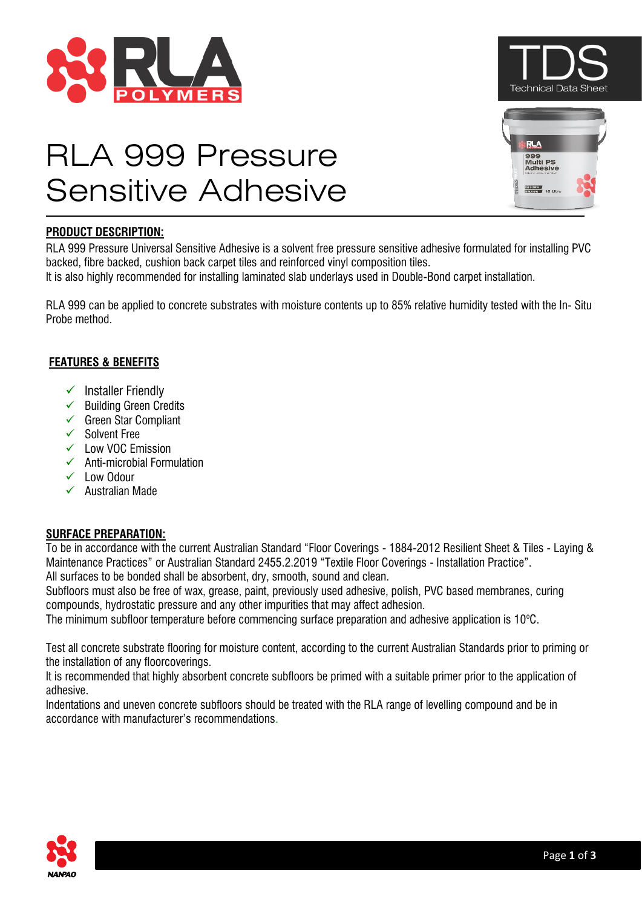





# RLA 999 Pressure Sensitive Adhesive

# **PRODUCT DESCRIPTION:**

RLA 999 Pressure Universal Sensitive Adhesive is a solvent free pressure sensitive adhesive formulated for installing PVC backed, fibre backed, cushion back carpet tiles and reinforced vinyl composition tiles.

It is also highly recommended for installing laminated slab underlays used in Double-Bond carpet installation.

RLA 999 can be applied to concrete substrates with moisture contents up to 85% relative humidity tested with the In- Situ Probe method.

# **FEATURES & BENEFITS**

- ✓ Installer Friendly
- ✓ Building Green Credits
- ✓ Green Star Compliant
- ✓ Solvent Free
- ✓ Low VOC Emission
- ✓ Anti-microbial Formulation
- ✓ Low Odour
- ✓ Australian Made

# **SURFACE PREPARATION:**

To be in accordance with the current Australian Standard "Floor Coverings - 1884-2012 Resilient Sheet & Tiles - Laying & Maintenance Practices" or Australian Standard 2455.2.2019 "Textile Floor Coverings - Installation Practice". All surfaces to be bonded shall be absorbent, dry, smooth, sound and clean.

Subfloors must also be free of wax, grease, paint, previously used adhesive, polish, PVC based membranes, curing compounds, hydrostatic pressure and any other impurities that may affect adhesion.

The minimum subfloor temperature before commencing surface preparation and adhesive application is  $10^{\circ}$ C.

Test all concrete substrate flooring for moisture content, according to the current Australian Standards prior to priming or the installation of any floorcoverings.

It is recommended that highly absorbent concrete subfloors be primed with a suitable primer prior to the application of adhesive.

Indentations and uneven concrete subfloors should be treated with the RLA range of levelling compound and be in accordance with manufacturer's recommendations.

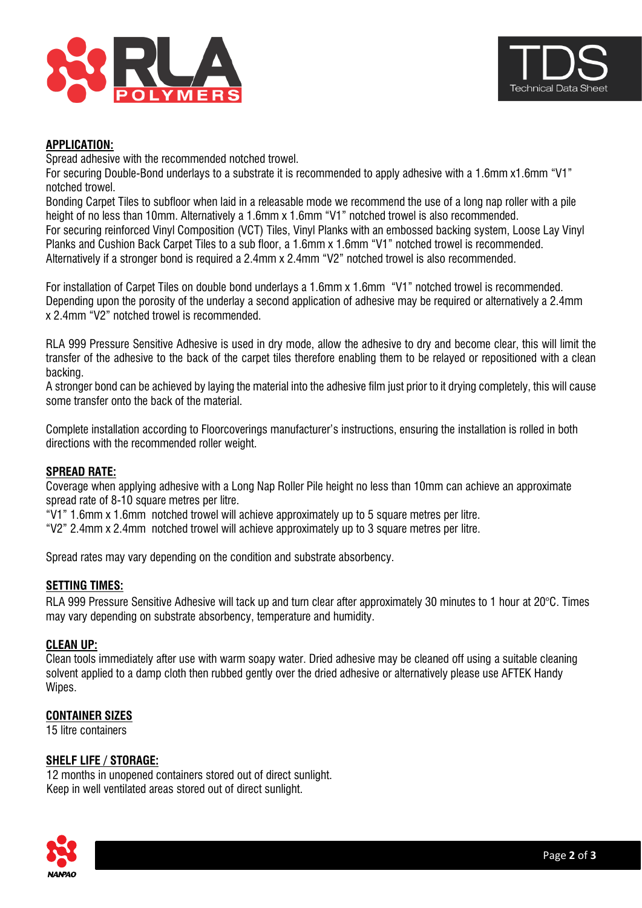



## **APPLICATION:**

Spread adhesive with the recommended notched trowel.

For securing Double-Bond underlays to a substrate it is recommended to apply adhesive with a 1.6mm x1.6mm "V1" notched trowel.

Bonding Carpet Tiles to subfloor when laid in a releasable mode we recommend the use of a long nap roller with a pile height of no less than 10mm. Alternatively a 1.6mm x 1.6mm "V1" notched trowel is also recommended. For securing reinforced Vinyl Composition (VCT) Tiles, Vinyl Planks with an embossed backing system, Loose Lay Vinyl Planks and Cushion Back Carpet Tiles to a sub floor, a 1.6mm x 1.6mm "V1" notched trowel is recommended. Alternatively if a stronger bond is required a 2.4mm x 2.4mm "V2" notched trowel is also recommended.

For installation of Carpet Tiles on double bond underlays a 1.6mm x 1.6mm "V1" notched trowel is recommended. Depending upon the porosity of the underlay a second application of adhesive may be required or alternatively a 2.4mm x 2.4mm "V2" notched trowel is recommended.

RLA 999 Pressure Sensitive Adhesive is used in dry mode, allow the adhesive to dry and become clear, this will limit the transfer of the adhesive to the back of the carpet tiles therefore enabling them to be relayed or repositioned with a clean backing.

A stronger bond can be achieved by laying the material into the adhesive film just prior to it drying completely, this will cause some transfer onto the back of the material.

Complete installation according to Floorcoverings manufacturer's instructions, ensuring the installation is rolled in both directions with the recommended roller weight.

## **SPREAD RATE:**

Coverage when applying adhesive with a Long Nap Roller Pile height no less than 10mm can achieve an approximate spread rate of 8-10 square metres per litre.

"V1" 1.6mm x 1.6mm notched trowel will achieve approximately up to 5 square metres per litre.

"V2" 2.4mm x 2.4mm notched trowel will achieve approximately up to 3 square metres per litre.

Spread rates may vary depending on the condition and substrate absorbency.

#### **SETTING TIMES:**

RLA 999 Pressure Sensitive Adhesive will tack up and turn clear after approximately 30 minutes to 1 hour at 20°C. Times may vary depending on substrate absorbency, temperature and humidity.

#### **CLEAN UP:**

Clean tools immediately after use with warm soapy water. Dried adhesive may be cleaned off using a suitable cleaning solvent applied to a damp cloth then rubbed gently over the dried adhesive or alternatively please use AFTEK Handy Wipes.

#### **CONTAINER SIZES**

15 litre containers

#### **SHELF LIFE / STORAGE:**

 12 months in unopened containers stored out of direct sunlight. Keep in well ventilated areas stored out of direct sunlight.